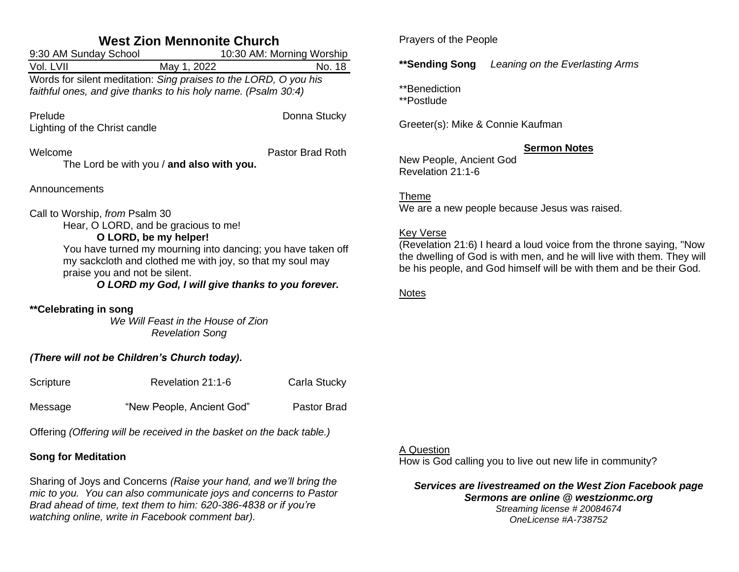| <b>West Zion Mennonite Church</b>                                                                                                                                                                                                                                                                                  |                                                              |                           |              |  |
|--------------------------------------------------------------------------------------------------------------------------------------------------------------------------------------------------------------------------------------------------------------------------------------------------------------------|--------------------------------------------------------------|---------------------------|--------------|--|
| 9:30 AM Sunday School                                                                                                                                                                                                                                                                                              |                                                              | 10:30 AM: Morning Worship |              |  |
| Vol. LVII                                                                                                                                                                                                                                                                                                          | May 1, 2022                                                  |                           | No. 18       |  |
| Words for silent meditation: Sing praises to the LORD, O you his<br>faithful ones, and give thanks to his holy name. (Psalm 30:4)                                                                                                                                                                                  |                                                              |                           |              |  |
| Prelude<br>Lighting of the Christ candle                                                                                                                                                                                                                                                                           |                                                              |                           | Donna Stucky |  |
| Welcome<br>Pastor Brad Roth<br>The Lord be with you / and also with you.                                                                                                                                                                                                                                           |                                                              |                           |              |  |
| Announcements                                                                                                                                                                                                                                                                                                      |                                                              |                           |              |  |
| Call to Worship, from Psalm 30<br>Hear, O LORD, and be gracious to me!<br>O LORD, be my helper!<br>You have turned my mourning into dancing; you have taken off<br>my sackcloth and clothed me with joy, so that my soul may<br>praise you and not be silent.<br>O LORD my God, I will give thanks to you forever. |                                                              |                           |              |  |
| **Celebrating in song                                                                                                                                                                                                                                                                                              | We Will Feast in the House of Zion<br><b>Revelation Song</b> |                           |              |  |
| (There will not be Children's Church today).                                                                                                                                                                                                                                                                       |                                                              |                           |              |  |
| Scripture                                                                                                                                                                                                                                                                                                          | Revelation 21:1-6                                            |                           | Carla Stucky |  |
| Message                                                                                                                                                                                                                                                                                                            | "New People, Ancient God"                                    |                           | Pastor Brad  |  |

Offering *(Offering will be received in the basket on the back table.)*

# **Song for Meditation**

Sharing of Joys and Concerns *(Raise your hand, and we'll bring the mic to you. You can also communicate joys and concerns to Pastor Brad ahead of time, text them to him: 620-386-4838 or if you're watching online, write in Facebook comment bar).*

Prayers of the People

**\*\*Sending Song** *Leaning on the Everlasting Arms*

\*\*Benediction

\*\*Postlude

Greeter(s): Mike & Connie Kaufman

# **Sermon Notes**

New People, Ancient God Revelation 21:1-6

Theme We are a new people because Jesus was raised.

## Key Verse

(Revelation 21:6) I heard a loud voice from the throne saying, "Now the dwelling of God is with men, and he will live with them. They will be his people, and God himself will be with them and be their God.

Notes

## A Question

How is God calling you to live out new life in community?

*Services are livestreamed on the West Zion Facebook page Sermons are online @ westzionmc.org Streaming license # 20084674*

*OneLicense #A-738752*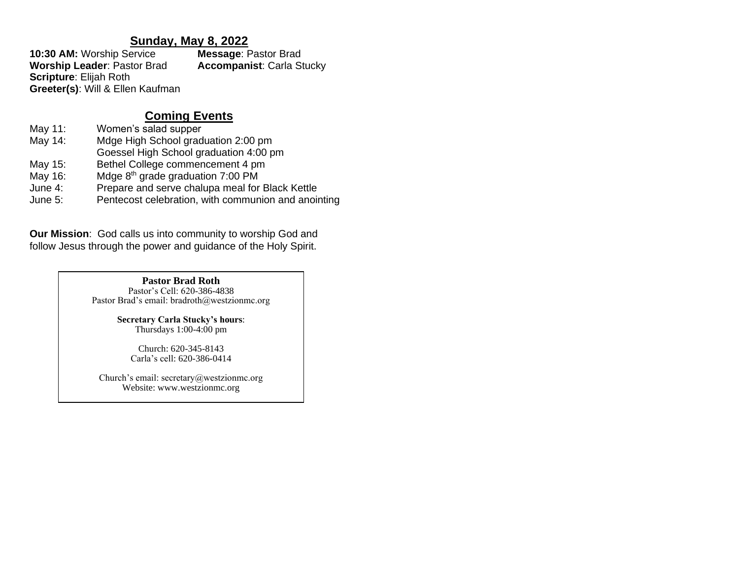# **Sunday, May 8, 2022**

**10:30 AM:** Worship Service **Message**: Pastor Brad **Worship Leader**: Pastor Brad **Accompanist**: Carla Stucky **Scripture**: Elijah Roth **Greeter(s)**: Will & Ellen Kaufman

# **Coming Events**

- May 11: Women's salad supper
- May 14: Mdge High School graduation 2:00 pm
- Goessel High School graduation 4:00 pm
- May 15: Bethel College commencement 4 pm
- May 16: Mdge 8<sup>th</sup> grade graduation 7:00 PM
- June 4: Prepare and serve chalupa meal for Black Kettle
- June 5: Pentecost celebration, with communion and anointing

**Our Mission**: God calls us into community to worship God and follow Jesus through the power and guidance of the Holy Spirit.

> **Pastor Brad Roth** Pastor's Cell: 620-386-4838 Pastor Brad's email: bradroth@westzionmc.org

> > **Secretary Carla Stucky's hours**: Thursdays 1:00-4:00 pm

> > > Church: 620-345-8143 Carla's cell: 620-386-0414

Church's email: secretary@westzionmc.org Website: www.westzionmc.org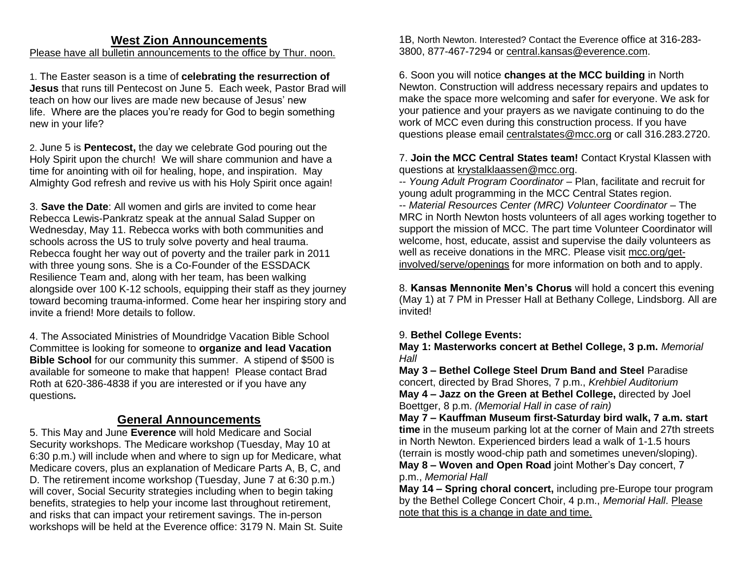# **West Zion Announcements**

## Please have all bulletin announcements to the office by Thur. noon.

1. The Easter season is a time of **celebrating the resurrection of Jesus** that runs till Pentecost on June 5. Each week, Pastor Brad will teach on how our lives are made new because of Jesus' new life. Where are the places you're ready for God to begin something new in your life?

2. June 5 is **Pentecost,** the day we celebrate God pouring out the Holy Spirit upon the church! We will share communion and have a time for anointing with oil for healing, hope, and inspiration. May Almighty God refresh and revive us with his Holy Spirit once again!

3. **Save the Date**: All women and girls are invited to come hear Rebecca Lewis-Pankratz speak at the annual Salad Supper on Wednesday, May 11. Rebecca works with both communities and schools across the US to truly solve poverty and heal trauma. Rebecca fought her way out of poverty and the trailer park in 2011 with three young sons. She is a Co-Founder of the ESSDACK Resilience Team and, along with her team, has been walking alongside over 100 K-12 schools, equipping their staff as they journey toward becoming trauma-informed. Come hear her inspiring story and invite a friend! More details to follow.

4. The Associated Ministries of Moundridge Vacation Bible School Committee is looking for someone to **organize and lead Vacation Bible School** for our community this summer. A stipend of \$500 is available for someone to make that happen! Please contact Brad Roth at 620-386-4838 if you are interested or if you have any questions*.*

# **General Announcements**

5. This May and June **Everence** will hold Medicare and Social Security workshops. The Medicare workshop (Tuesday, May 10 at 6:30 p.m.) will include when and where to sign up for Medicare, what Medicare covers, plus an explanation of Medicare Parts A, B, C, and D. The retirement income workshop (Tuesday, June 7 at 6:30 p.m.) will cover, Social Security strategies including when to begin taking benefits, strategies to help your income last throughout retirement, and risks that can impact your retirement savings. The in-person workshops will be held at the Everence office: 3179 N. Main St. Suite 1B, North Newton. Interested? Contact the Everence office at 316-283- 3800, 877-467-7294 or [central.kansas@everence.com.](mailto:central.kansas@everence.com)

6. Soon you will notice **changes at the MCC building** in North Newton. Construction will address necessary repairs and updates to make the space more welcoming and safer for everyone. We ask for your patience and your prayers as we navigate continuing to do the work of MCC even during this construction process. If you have questions please email [centralstates@mcc.org](mailto:centralstates@mcc.org) or call 316.283.2720.

7. **Join the MCC Central States team!** Contact Krystal Klassen with questions at [krystalklaassen@mcc.org.](http://krystalklaassen@mcc.org/)

-- *Young Adult Program Coordinator* – Plan, facilitate and recruit for young adult programming in the MCC Central States region. -- *Material Resources Center (MRC) Volunteer Coordinator* – The MRC in North Newton hosts volunteers of all ages working together to support the mission of MCC. The part time Volunteer Coordinator will welcome, host, educate, assist and supervise the daily volunteers as well as receive donations in the MRC. Please visit [mcc.org/get](https://mcc.org/get-involved/serve/openings/material-resource-center-volunteer-coordinator-central-states)[involved/serve/openings](https://mcc.org/get-involved/serve/openings/material-resource-center-volunteer-coordinator-central-states) for more information on both and to apply.

8. **Kansas Mennonite Men's Chorus** will hold a concert this evening (May 1) at 7 PM in Presser Hall at Bethany College, Lindsborg. All are invited!

## 9. **Bethel College Events:**

**May 1: Masterworks concert at Bethel College, 3 p.m.** *Memorial Hall*

**May 3 – Bethel College Steel Drum Band and Steel** Paradise concert, directed by Brad Shores, 7 p.m., *Krehbiel Auditorium*  **May 4 – Jazz on the Green at Bethel College,** directed by Joel Boettger, 8 p.m. *(Memorial Hall in case of rain)*

**May 7 – Kauffman Museum first-Saturday bird walk, 7 a.m. start time** in the museum parking lot at the corner of Main and 27th streets in North Newton. Experienced birders lead a walk of 1-1.5 hours (terrain is mostly wood-chip path and sometimes uneven/sloping).

**May 8 – Woven and Open Road** joint Mother's Day concert, 7 p.m., *Memorial Hall*

**May 14 – Spring choral concert,** including pre-Europe tour program by the Bethel College Concert Choir, 4 p.m., *Memorial Hall*. Please note that this is a change in date and time.